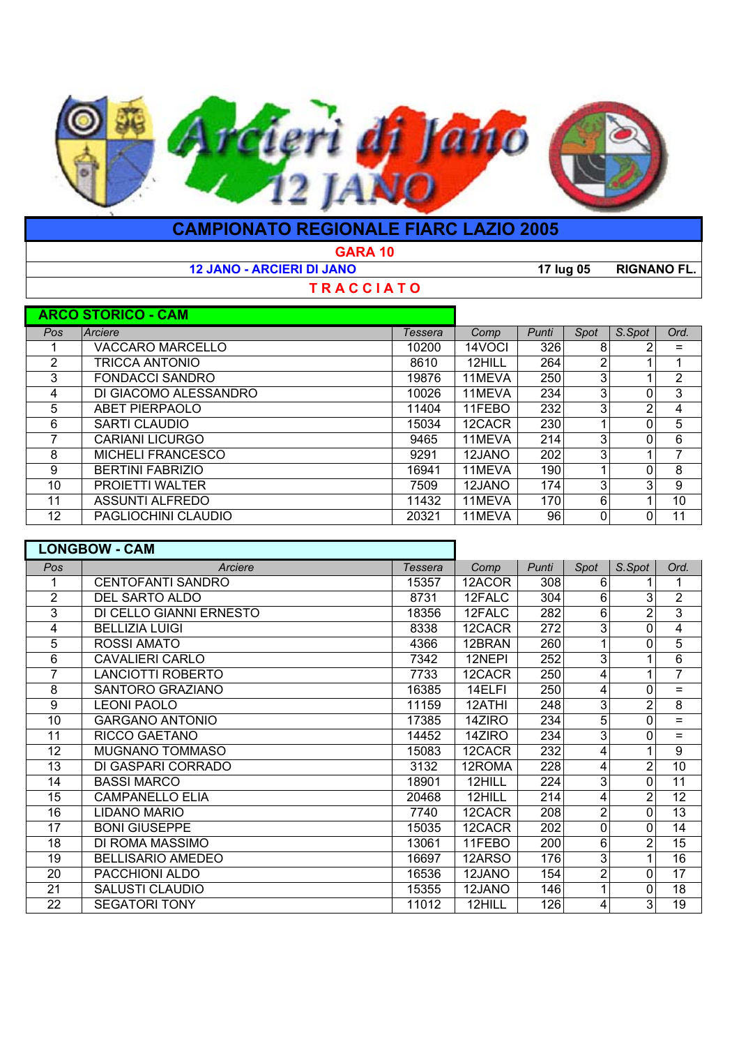

| <b>CAMPIONATO REGIONALE FIARC LAZIO 2005</b> |                                  |         |        |           |      |                    |                |  |  |  |  |  |
|----------------------------------------------|----------------------------------|---------|--------|-----------|------|--------------------|----------------|--|--|--|--|--|
| <b>GARA 10</b>                               |                                  |         |        |           |      |                    |                |  |  |  |  |  |
|                                              | <b>12 JANO - ARCIERI DI JANO</b> |         |        | 17 lug 05 |      | <b>RIGNANO FL.</b> |                |  |  |  |  |  |
|                                              | <b>TRACCIATO</b>                 |         |        |           |      |                    |                |  |  |  |  |  |
|                                              | <b>ARCO STORICO - CAM</b>        |         |        |           |      |                    |                |  |  |  |  |  |
| Pos.                                         | Arciere                          | Tessera | Comp   | Punti     | Spot | S.Spot             | Ord.           |  |  |  |  |  |
|                                              | <b>VACCARO MARCELLO</b>          | 10200   | 14VOCI | 326       | 8    |                    | $=$            |  |  |  |  |  |
| 2                                            | TRICCA ANTONIO                   | 8610    | 12HILL | 264       | 2    |                    |                |  |  |  |  |  |
| 3                                            | <b>FONDACCI SANDRO</b>           | 19876   | 11MEVA | 250       | 3    |                    | $\overline{2}$ |  |  |  |  |  |
| 4                                            | DI GIACOMO ALESSANDRO            | 10026   | 11MEVA | 234       | 3    | 0                  | 3              |  |  |  |  |  |
| 5                                            | <b>ABET PIERPAOLO</b>            | 11404   | 11FEBO | 232       | 3    | 2                  | 4              |  |  |  |  |  |
| 6                                            | SARTI CLAUDIO                    | 15034   | 12CACR | 230       |      | 0                  | 5              |  |  |  |  |  |
| 7                                            | CARIANI LICURGO                  | 9465    | 11MEVA | 214       | 3    | 0                  | 6              |  |  |  |  |  |
| 8                                            | <b>MICHELI FRANCESCO</b>         | 9291    | 12JANO | 202       | 3    |                    | 7              |  |  |  |  |  |
| 9                                            | <b>BERTINI FABRIZIO</b>          | 16941   | 11MEVA | 190       |      | 0                  | 8              |  |  |  |  |  |
| 10                                           | <b>PROIETTI WALTER</b>           | 7509    | 12JANO | 174       | 3    | 3                  | 9              |  |  |  |  |  |
| 11                                           | <b>ASSUNTI ALFREDO</b>           | 11432   | 11MEVA | 170       | 6    |                    | 10             |  |  |  |  |  |
| 12                                           | PAGLIOCHINI CLAUDIO              | 20321   | 11MEVA | 96        | 0    | 0                  | 11             |  |  |  |  |  |

|                | <b>LONGBOW - CAM</b>     |                |        |       |      |                |                |
|----------------|--------------------------|----------------|--------|-------|------|----------------|----------------|
| Pos            | Arciere                  | <b>Tessera</b> | Comp   | Punti | Spot | S.Spot         | Ord.           |
|                | <b>CENTOFANTI SANDRO</b> | 15357          | 12ACOR | 308   | 6    |                | 1              |
| $\overline{2}$ | DEL SARTO ALDO           | 8731           | 12FALC | 304   | 6    | 3              | $\overline{2}$ |
| 3              | DI CELLO GIANNI ERNESTO  | 18356          | 12FALC | 282   | 6    | 2              | $\overline{3}$ |
| 4              | <b>BELLIZIA LUIGI</b>    | 8338           | 12CACR | 272   | 3    | 0              | 4              |
| 5              | <b>ROSSI AMATO</b>       | 4366           | 12BRAN | 260   |      | 0              | 5              |
| 6              | <b>CAVALIERI CARLO</b>   | 7342           | 12NEPI | 252   | 3    |                | 6              |
|                | <b>LANCIOTTI ROBERTO</b> | 7733           | 12CACR | 250   | 4    |                | $\overline{7}$ |
| 8              | SANTORO GRAZIANO         | 16385          | 14ELFI | 250   | 4    | 0              | $=$            |
| 9              | <b>LEONI PAOLO</b>       | 11159          | 12ATHI | 248   | 3    | 2              | 8              |
| 10             | <b>GARGANO ANTONIO</b>   | 17385          | 14ZIRO | 234   | 5    | 0              | $=$            |
| 11             | RICCO GAETANO            | 14452          | 14ZIRO | 234   | 3    | 0              | $=$            |
| 12             | MUGNANO TOMMASO          | 15083          | 12CACR | 232   | 4    |                | 9              |
| 13             | DI GASPARI CORRADO       | 3132           | 12ROMA | 228   | 4    | 2              | 10             |
| 14             | <b>BASSI MARCO</b>       | 18901          | 12HILL | 224   | 3    | 0              | 11             |
| 15             | <b>CAMPANELLO ELIA</b>   | 20468          | 12HILL | 214   | 4    | 2              | 12             |
| 16             | <b>LIDANO MARIO</b>      | 7740           | 12CACR | 208   | 2    | $\Omega$       | 13             |
| 17             | <b>BONI GIUSEPPE</b>     | 15035          | 12CACR | 202   | 0    | 0              | 14             |
| 18             | DI ROMA MASSIMO          | 13061          | 11FEBO | 200   | 6    | $\overline{c}$ | 15             |
| 19             | <b>BELLISARIO AMEDEO</b> | 16697          | 12ARSO | 176   | 3    |                | 16             |
| 20             | PACCHIONI ALDO           | 16536          | 12JANO | 154   | 2    | 0              | 17             |
| 21             | <b>SALUSTI CLAUDIO</b>   | 15355          | 12JANO | 146   |      | 0              | 18             |
| 22             | <b>SEGATORI TONY</b>     | 11012          | 12HILL | 126   | 4    | 3              | 19             |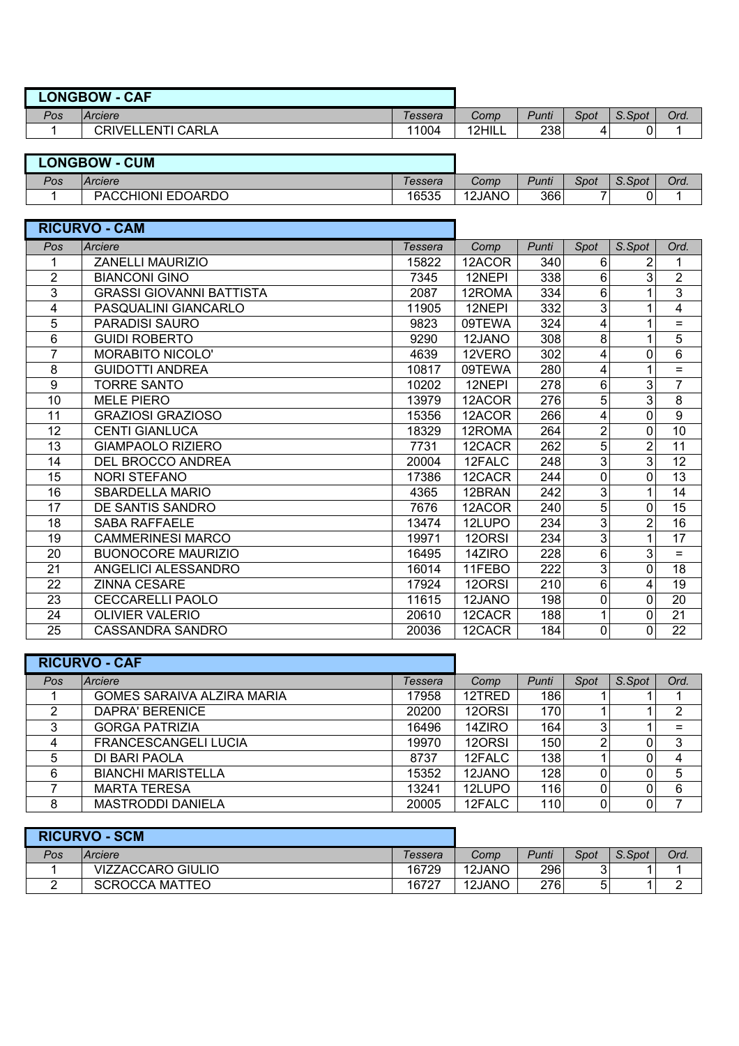| <b>LONGBOW</b><br><b>CAF</b> |                       |         |        |       |      |        |      |
|------------------------------|-----------------------|---------|--------|-------|------|--------|------|
| Pos                          | Arciere               | Tessera | Comp   | Punti | Spot | S.Spot | Ord. |
|                              | ENTI CARLA.<br>CRIVEI | 11004   | 12HILL | 238   |      |        |      |

| <b>LONGBOW</b><br><b>CUM</b> |                   |         |        |       |      |        |      |
|------------------------------|-------------------|---------|--------|-------|------|--------|------|
| Pos                          | Arciere           | Tessera | Comp   | Punti | Spot | S.Spot | Ord. |
|                              | PACCHIONI EDOARDO | 16535   | 12JANO | 366   |      |        |      |

| <b>RICURVO - CAM</b> |                                 |                |        |       |                |                |                         |
|----------------------|---------------------------------|----------------|--------|-------|----------------|----------------|-------------------------|
| Pos                  | Arciere                         | <b>Tessera</b> | Comp   | Punti | Spot           | S.Spot         | Ord.                    |
|                      | <b>ZANELLI MAURIZIO</b>         | 15822          | 12ACOR | 340   | 6              |                | 1                       |
| $\overline{2}$       | <b>BIANCONI GINO</b>            | 7345           | 12NEPI | 338   | 6              | 3              | $\overline{2}$          |
| 3                    | <b>GRASSI GIOVANNI BATTISTA</b> | 2087           | 12ROMA | 334   | 6              |                | 3                       |
| 4                    | PASQUALINI GIANCARLO            | 11905          | 12NEPI | 332   | 3              | $\mathbf{1}$   | $\overline{\mathbf{4}}$ |
| 5                    | <b>PARADISI SAURO</b>           | 9823           | 09TEWA | 324   | 4              | 1              | $\equiv$                |
| 6                    | <b>GUIDI ROBERTO</b>            | 9290           | 12JANO | 308   | 8              |                | 5                       |
| $\overline{7}$       | MORABITO NICOLO'                | 4639           | 12VERO | 302   | 4              | 0              | 6                       |
| 8                    | <b>GUIDOTTI ANDREA</b>          | 10817          | 09TEWA | 280   | 4              | 1              | $=$                     |
| 9                    | <b>TORRE SANTO</b>              | 10202          | 12NEPI | 278   | 6              | 3              | $\overline{7}$          |
| 10                   | <b>MELE PIERO</b>               | 13979          | 12ACOR | 276   | 5              | 3              | 8                       |
| 11                   | <b>GRAZIOSI GRAZIOSO</b>        | 15356          | 12ACOR | 266   | 4              | $\mathbf 0$    | 9                       |
| 12                   | <b>CENTI GIANLUCA</b>           | 18329          | 12ROMA | 264   | $\overline{2}$ | $\mathbf{0}$   | 10                      |
| 13                   | <b>GIAMPAOLO RIZIERO</b>        | 7731           | 12CACR | 262   | 5              | 2              | 11                      |
| 14                   | <b>DEL BROCCO ANDREA</b>        | 20004          | 12FALC | 248   | 3              | 3              | 12                      |
| 15                   | <b>NORI STEFANO</b>             | 17386          | 12CACR | 244   | 0              | $\mathbf 0$    | 13                      |
| 16                   | SBARDELLA MARIO                 | 4365           | 12BRAN | 242   | 3              | 1              | 14                      |
| 17                   | DE SANTIS SANDRO                | 7676           | 12ACOR | 240   | 5              | $\Omega$       | 15                      |
| 18                   | <b>SABA RAFFAELE</b>            | 13474          | 12LUPO | 234   | 3              | $\overline{2}$ | 16                      |
| 19                   | <b>CAMMERINESI MARCO</b>        | 19971          | 120RSI | 234   | 3              | 1              | 17                      |
| 20                   | <b>BUONOCORE MAURIZIO</b>       | 16495          | 14ZIRO | 228   | 6              | 3              | $=$                     |
| 21                   | ANGELICI ALESSANDRO             | 16014          | 11FEBO | 222   | 3              | $\mathbf 0$    | 18                      |
| 22                   | <b>ZINNA CESARE</b>             | 17924          | 120RSI | 210   | 6              | 4              | 19                      |
| 23                   | <b>CECCARELLI PAOLO</b>         | 11615          | 12JANO | 198   | 0              | 0              | 20                      |
| 24                   | <b>OLIVIER VALERIO</b>          | 20610          | 12CACR | 188   |                | 0              | 21                      |
| 25                   | <b>CASSANDRA SANDRO</b>         | 20036          | 12CACR | 184   | 0              | 0              | 22                      |

|     | <b>RICURVO - CAF</b>        |         |        |       |      |        |      |
|-----|-----------------------------|---------|--------|-------|------|--------|------|
| Pos | Arciere                     | Tessera | Comp   | Punti | Spot | S.Spot | Ord. |
|     | GOMES SARAIVA ALZIRA MARIA  | 17958   | 12TRED | 186   |      |        |      |
| ົ   | <b>DAPRA' BERENICE</b>      | 20200   | 120RSI | 170   |      |        | 2    |
| 3   | <b>GORGA PATRIZIA</b>       | 16496   | 14ZIRO | 164   | 3    |        | =    |
| Δ   | <b>FRANCESCANGELI LUCIA</b> | 19970   | 120RSI | 150   | 2    |        | 3    |
| 5   | DI BARI PAOLA               | 8737    | 12FALC | 138   |      |        |      |
| 6   | <b>BIANCHI MARISTELLA</b>   | 15352   | 12JANO | 128   | 0    |        | 5    |
|     | <b>MARTA TERESA</b>         | 13241   | 12LUPO | 116   | 0    |        | 6    |
| 8   | <b>MASTRODDI DANIELA</b>    | 20005   | 12FALC | 110   | 0    |        |      |

| <b>RICURVO - SCM</b> |                       |         |        |       |        |        |      |
|----------------------|-----------------------|---------|--------|-------|--------|--------|------|
| Pos                  | Arciere               | Tessera | Comp   | Punti | Spot   | S.Spot | Ord. |
|                      | VIZZACCARO GIULIO     | 16729   | 12JANO | 296   | ົ<br>ບ |        |      |
|                      | <b>SCROCCA MATTEO</b> | 16727   | 12JANO | 276   | ς      |        |      |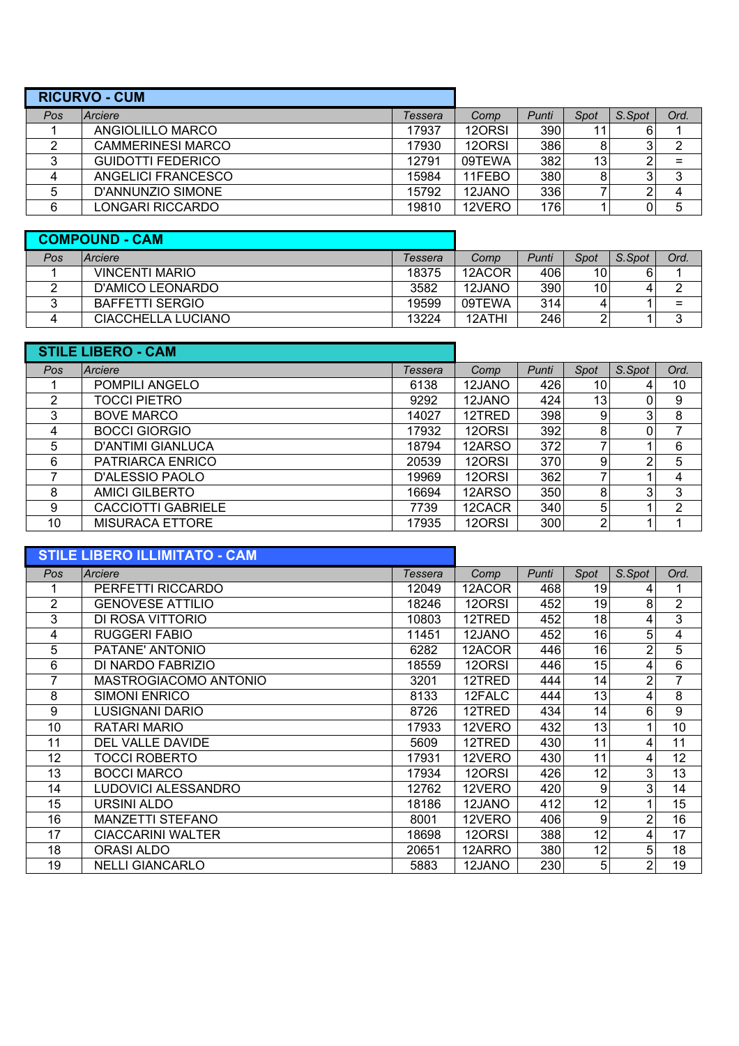| <b>RICURVO - CUM</b> |                          |         |        |       |                 |        |                |
|----------------------|--------------------------|---------|--------|-------|-----------------|--------|----------------|
| Pos                  | Arciere                  | Tessera | Comp   | Punti | Spot            | S.Spot | Ord.           |
|                      | ANGIOLILLO MARCO         | 17937   | 120RSI | 390   |                 |        |                |
|                      | <b>CAMMERINESI MARCO</b> | 17930   | 120RSI | 386   |                 | 3      | $\overline{2}$ |
|                      | <b>GUIDOTTI FEDERICO</b> | 12791   | 09TEWA | 382   | 13 <sub>1</sub> | 2      |                |
|                      | ANGELICI FRANCESCO       | 15984   | 11FEBO | 380   |                 | 3      | 3              |
|                      | D'ANNUNZIO SIMONE        | 15792   | 12JANO | 336   |                 |        | 4              |
| 6                    | LONGARI RICCARDO         | 19810   | 12VERO | 176   |                 | 0      | 5              |

|     | <b>COMPOUND - CAM</b>  |         |        |       |      |        |      |
|-----|------------------------|---------|--------|-------|------|--------|------|
| Pos | Arciere                | Tessera | Comp   | Punti | Spot | S.Spot | Ord. |
|     | VINCENTI MARIO         | 18375   | 12ACOR | 406   | 10   |        |      |
|     | D'AMICO LEONARDO       | 3582    | 12JANO | 390   | 10   |        | ົ    |
|     | <b>BAFFETTI SERGIO</b> | 19599   | 09TEWA | 314   | 4    |        | =    |
|     | CIACCHELLA LUCIANO     | 13224   | 12ATHI | 246   | 2    |        | ◠    |

|     | <b>STILE LIBERO - CAM</b> |         |        |       |                 |        |      |
|-----|---------------------------|---------|--------|-------|-----------------|--------|------|
| Pos | Arciere                   | Tessera | Comp   | Punti | Spot            | S.Spot | Ord. |
|     | POMPILI ANGELO            | 6138    | 12JANO | 426   | 10              |        | 10   |
| 2   | TOCCI PIETRO              | 9292    | 12JANO | 424   | 13 <sub>1</sub> |        | 9    |
| 3   | <b>BOVE MARCO</b>         | 14027   | 12TRED | 398   | 9               | 3      | 8    |
| 4   | <b>BOCCI GIORGIO</b>      | 17932   | 120RSI | 392   | 8               |        |      |
| 5   | <b>D'ANTIMI GIANLUCA</b>  | 18794   | 12ARSO | 372   |                 |        | 6    |
| 6   | PATRIARCA ENRICO          | 20539   | 120RSI | 370   | 9               | ◠      | 5    |
|     | D'ALESSIO PAOLO           | 19969   | 120RSI | 362   |                 |        | 4    |
| 8   | <b>AMICI GILBERTO</b>     | 16694   | 12ARSO | 350   | 8               | 3      | 3    |
| 9   | <b>CACCIOTTI GABRIELE</b> | 7739    | 12CACR | 340   | 5               |        | 2    |
| 10  | MISURACA ETTORE           | 17935   | 120RSI | 300   | 2               |        |      |

|      | <b>STILE LIBERO ILLIMITATO - CAM</b> |         |        |       |      |        |      |
|------|--------------------------------------|---------|--------|-------|------|--------|------|
| Pos. | Arciere                              | Tessera | Comp   | Punti | Spot | S.Spot | Ord. |
|      | PERFETTI RICCARDO                    | 12049   | 12ACOR | 468   | 19   | 4      | 1    |
| 2    | <b>GENOVESE ATTILIO</b>              | 18246   | 120RSI | 452   | 19   | 8      | 2    |
| 3    | DI ROSA VITTORIO                     | 10803   | 12TRED | 452   | 18   | 4      | 3    |
| 4    | <b>RUGGERI FABIO</b>                 | 11451   | 12JANO | 452   | 16   | 5      | 4    |
| 5    | PATANE' ANTONIO                      | 6282    | 12ACOR | 446   | 16   | 2      | 5    |
| 6    | DI NARDO FABRIZIO                    | 18559   | 120RSI | 446   | 15   | 4      | 6    |
| 7    | MASTROGIACOMO ANTONIO                | 3201    | 12TRED | 444   | 14   | 2      | 7    |
| 8    | <b>SIMONI ENRICO</b>                 | 8133    | 12FALC | 444   | 13   | 4      | 8    |
| 9    | LUSIGNANI DARIO                      | 8726    | 12TRED | 434   | 14   | 6      | 9    |
| 10   | RATARI MARIO                         | 17933   | 12VERO | 432   | 13   |        | 10   |
| 11   | <b>DEL VALLE DAVIDE</b>              | 5609    | 12TRED | 430   | 11   | 4      | 11   |
| 12   | TOCCI ROBERTO                        | 17931   | 12VERO | 430   | 11   | 4      | 12   |
| 13   | <b>BOCCI MARCO</b>                   | 17934   | 120RSI | 426   | 12   | 3      | 13   |
| 14   | LUDOVICI ALESSANDRO                  | 12762   | 12VERO | 420   | 9    | 3      | 14   |
| 15   | URSINI ALDO                          | 18186   | 12JANO | 412   | 12   |        | 15   |
| 16   | <b>MANZETTI STEFANO</b>              | 8001    | 12VERO | 406   | 9    | 2      | 16   |
| 17   | <b>CIACCARINI WALTER</b>             | 18698   | 120RSI | 388   | 12   | 4      | 17   |
| 18   | ORASI ALDO                           | 20651   | 12ARRO | 380   | 12   | 5      | 18   |
| 19   | <b>NELLI GIANCARLO</b>               | 5883    | 12JANO | 230   | 5    | 2      | 19   |